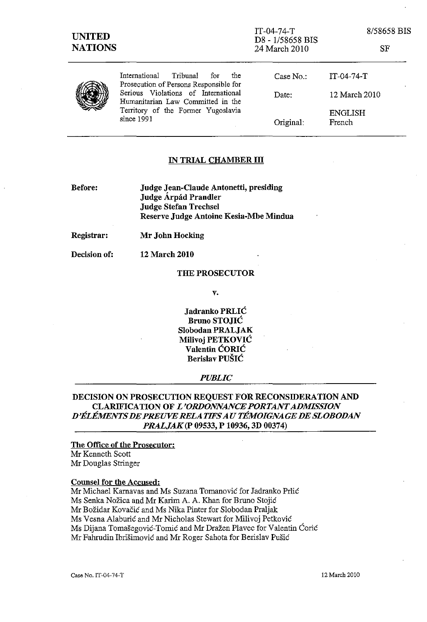SF



International Tribunal for the Prosecution of Persons Responsible for Serious Violations of International Humanitarian Law Committed in the Territory of the Former Yugoslavia since 1991

Case No.: IT-04-74-T Date: Original: 12 March 2010 ENGLISH French

#### IN TRIAL CHAMBER III

Before:

Judge Jean-Claude Antonetti, presiding Judge Árpád Prandler Judge Stefan Trechsel Reserve Judge Antoine Kesia-Mbe Mindua

Registrar: Mr John Hocking

12 March 2010

Decision of:

# THE PROSECUTOR

v.

Jadranko PRLIC Bruno STOJIC Slobodan PRALJAK Milivoj PETKOVIC Valentin CORIC Berislav PUSIC

#### *PUBLIC*

### DECISION ON PROSECUTION REQUEST FOR RECONSIDERATION AND CLARIFICATION OF *L'ORDONNANCE PORTANT ADMISSION D'liLlfMENTS DE PREUVE RELATIFS AU TEMOIGNAGEDE SLOBODAN PRALJAK(P* 09533, P 10936, 3D 00374)

## The Office of the Prosecutor:

Mr Kenneth Scott Mr Douglas Stringer

#### Counsel for the Accused:

Mr Michael Karnavas and Ms Suzana Tomanović for Jadranko Prlić Ms Senka Nožica and Mr Karim A. A. Khan for Bruno Stojić Mr Bozidar Kovacic and Ms Nika Pinter for Slobodan Praljak Ms Vesna Alaburić and Mr Nicholas Stewart for Milivoj Petković Ms Dijana Tomašegović-Tomić and Mr Dražen Plavec for Valentin Ćorić Mr Fahrudin lbrisirnovic and Mr Roger Sahota for Berislav Pusic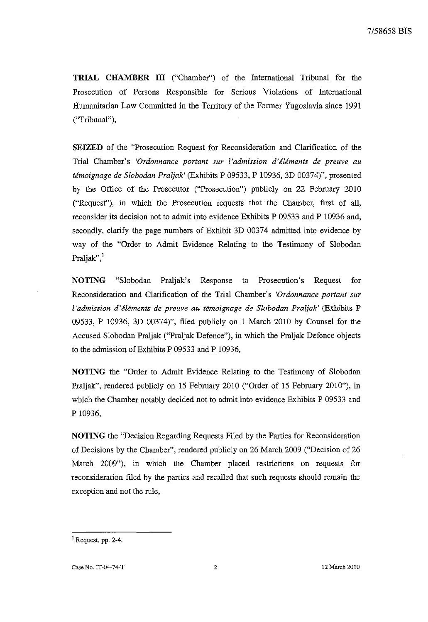**TRIAL CHAMBER III** ("Chamber") of the International Tribunal for the Prosecution of Persons Responsible for Serious Violations of International Humanitarian Law Committed in the Territory of the Former Yugoslavia since 1991 ("Tribunal"),

**SEIZED** of the "Prosecution Request for Reconsideration and Clarification of the Trial Chamber's *'Ordonnance portant sur I'admission d'eiements de preuve au temoignage de Slobodan Praljak'* (Exhibits P 09533, P 10936, 3D 00374)", presented by the Office of the Prosecutor ("Prosecution") publicly on 22 February 2010 ("Request"), in which the Prosecution requests that the Chamber, first of all, reconsider its decision not to admit into evidence Exhibits P 09533 and P 10936 and, secondly, clarify the page numbers of Exhibit 3D 00374 admitted into evidence by way of the "Order to Admit Evidence Relating to the Testimony of Slobodan Praljak",<sup>1</sup>

**NOTING** "Slobodan Praljak's Response to Prosecution's Request for Reconsideration and Clarification of the Trial Chamber's *'Ordonnance portant sur I'admission d'tfltfments de preuve au ttfmoignage de Slobodan Praljak'* (Exhibits P 09533, P 10936, 3D 00374)", filed publicly on 1 March 2010 by Counsel for the Accused Slobodan Praljak ("Praljak Defence"), in which the Praljak Defence objects to the admission of Exhibits P 09533 and P 10936,

**NOTING** the "Order to Admit Evidence Relating to the Testimony of Slobodan Praljak", rendered publicly on 15 February 2010 ("Order of 15 February 2010"), in which the Chamber notably decided not to admit into evidence Exhibits P 09533 and P 10936,

**NOTING** the "Decision Regarding Requests Filed by the Parties for Reconsideration of Decisions by the Chamber", rendered publicly on 26 March 2009 ("Decision of 26 March 2009"), in which the Chamber placed restrictions on requests for reconsideration filed by the parties and recalled that such requests should remain the exception and not the rule,

 $<sup>1</sup>$  Request, pp. 2-4.</sup>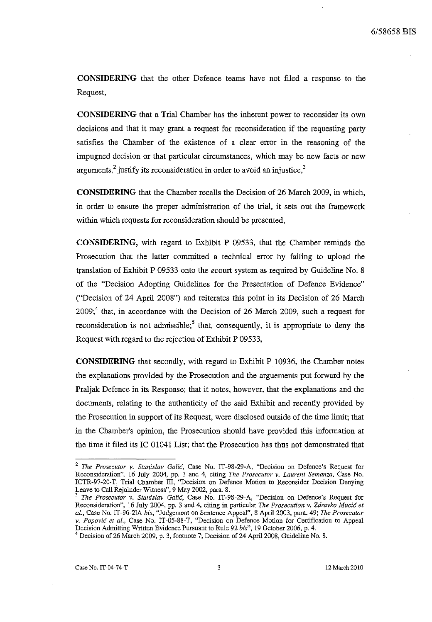**CONSIDERING** that the other Defence teams have not fIled a response to the Request,

**CONSIDERING** that a Trial Chamber has the inherent power to reconsider its own decisions and that it may grant a request for reconsideration if the requesting party satisfies the Chamber of the existence of a clear error in the reasoning of the impugned decision or that particular circumstances, which may be new facts or new arguments, $\frac{2}{3}$  justify its reconsideration in order to avoid an injustice, $\frac{3}{3}$ 

**CONSIDERING** that the Chamber recalls the Decision of 26 March 2009, in which, in order to ensure the proper administration of the trial, it sets out the framework within which requests for reconsideration should be presented,

**CONSIDERING,** with regard to Exhibit P 09533, that the Chamber reminds the Prosecution that the latter committed a technical error by failing to upload the translation of Exhibit P 09533 onto the *ecourt* system as required by Guideline No. 8 of the "Decision Adopting Guidelines for the Presentation of Defence Evidence" ("Decision of 24 April 2008") and reiterates this point in its Decision of 26 March  $2009$ ;<sup>4</sup> that, in accordance with the Decision of 26 March 2009, such a request for reconsideration is not admissible;<sup>5</sup> that, consequently, it is appropriate to deny the Request with regard to the rejection of Exhibit P 09533,

**CONSIDERING** that secondly, with regard to Exhibit P 10936, the Chamber notes the explanations provided by the Prosecution and the arguements put forward by the Praljak Defence in its Response; that it notes, however, that the explanations and the documents, relating to the authenticity of the said Exhibit and recently provided by the Prosecution in support of its Request, were disclosed outside of the time limit; that in the Chamber's opinion, the Prosecution should have provided this information at the time it filed its **IC** 01041 List; that the Prosecution has thus not demonstrated that

**Case No.IT-04-74-T** 3 12 March 2010

**<sup>2</sup>***The Prosecutor v. Stanislav* **Galic, Case No. IT-98-29-A, "Decision on Defence's Request for Reconsideration", 16 July 2004, pp. 3 and 4, citing** *The Prosecutor v. Laurent Semanza,* **Case No.**  ICTR-97-20-T, Trial Chamber III, "Decision on Defence Motion to Reconsider Decision Denying Leave to Call Rejoinder Witness", 9 May 2002, para. 8.

**<sup>3</sup>***The Prosecutor v. Stanislav* **Galic, Case No. IT -98-29-A, "Decision on Defence's Request for Reconsideration", 16 July 2004, pp. 3 and 4, citing in particular** *The Prosecution* **v.** *Zdravko* **Mucic** *et al.,* Case No. IT-96-21A *bis,* "Judgement on Sentence Appeal", 8 April 2003, para. 49; *The Prosecutor v. Popovic et al.,* Case No. IT-05-88-T, "Decision on Defence Motion for Certification to Appeal Decision Admitting Written Evidence Pursuant to Rule 92 *bis",* 19 October 2006, p. 4.

<sup>4</sup> Decision of 26 March 2009, p. 3, footnote 7; Decision of 24 April 2008, Guideline No. 8.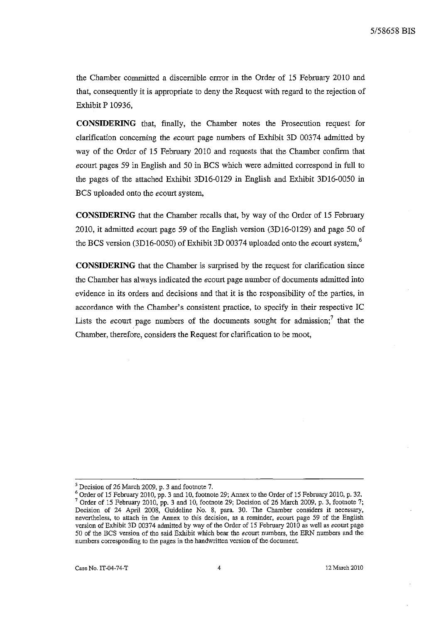the Chamber committed a discemible ernor in the Order of 15 February 2010 and that, consequently it is appropriate to deny the Request with regard to the rejection of Exhibit P 10936,

**CONSIDERING** that, finally, the Chamber notes the Prosecution request for clarification concerning the *ecourt* page numbers of Exhibit 3D 00374 admitted by way of the Order of 15 February 2010 and requests that the Chamber confirm that *ecourt* pages 59 in English and 50 in BCS which were admitted correspond in full to the pages of the attached Exhibit 3D16-0129 in English and Exhibit 3D16-0050 in BCS uploaded onto the *ecourt* system,

**CONSIDERING** that the Chamber recalls that, by way of the Order of 15 February 2010, it admitted ecourt page 59 of the English version (3DI6-0129) and page 50 of the BCS version (3D16-0050) of Exhibit 3D 00374 uploaded onto the ecourt system,<sup>6</sup>

**CONSIDERING** that the Chamber is surprised by the request for clarification since the Chamber has always indicated the *ecourt* page number of documents admitted into evidence in its orders and decisions and that it is the responsibility of the parties, in accordance with the Chamber's consistent practice, to specify in their respective IC Lists the ecourt page numbers of the documents sought for admission;<sup>7</sup> that the Chamber, therefore, considers the Request for clarification to be moot,

<sup>5</sup> Decision of 26 March 2009, p. 3 and footnote 7.

 $^6$  Order of 15 February 2010, pp. 3 and 10, footnote 29; Annex to the Order of 15 February 2010, p. 32. <sup>7</sup> Order of 15 February 2010, pp. 3 and 10, footnote 29; Decision of 26 March 2009, p. 3, footnote 7; Decision of 24 April 2008, Guideline No. 8, para. 30. The Chamber considers it necessary, **nevertheless, to attach in the Annex to this decision, as a reminder, ecourt page 59 of the English**  version of Exhibit 3D 00374 admitted by way of the Order of 15 February 2010 as well as ecourt page 50 of the BCS version of the said Exhibit which bear the econrt numbers, the ERN numbers and the **numbers corresponding to the pages in the handwritten version of the document.**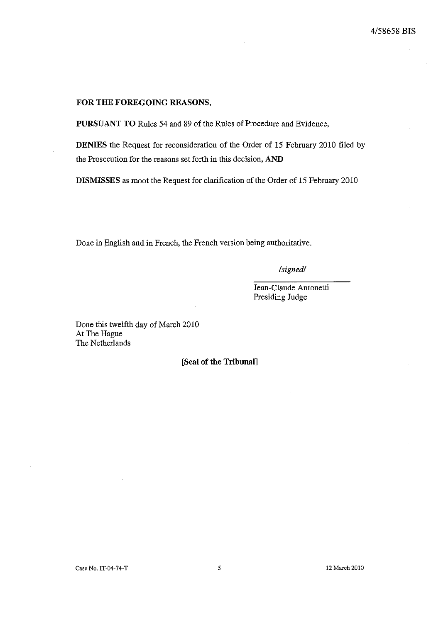#### **FOR THE FOREGOING REASONS,**

**PURSUANT TO** Rules 54 and 89 of the Rules of Procedure and Evidence,

**DENIES** the Request for reconsideration of the Order of 15 February 2010 filed by the Prosecution for the reasons set forth in this decision, **AND** 

**DISMISSES** as moot the Reqnest for clarification of the Order of 15 February 2010

Done in English and in French, the French version being authoritative.

*/signed/* 

Jean-Claude Antonetti Presiding Judge

Done this twelfth day of March 2010 At The Hague The Netherlands

**[Seal of the Tribunal]** 

Case No. IT-04-74-T 5 12 March 2010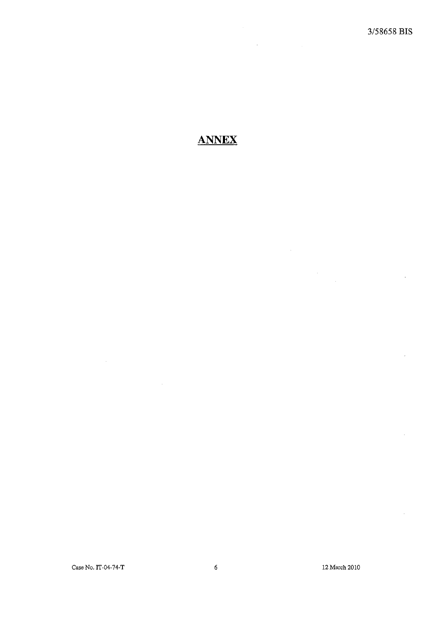$\bar{z}$ 

 $\epsilon$ 

ł,

 $\bar{\gamma}$ 

 $\sim$ 

# **ANNEX**

Case No. IT-04-74-T 6 12 March 2010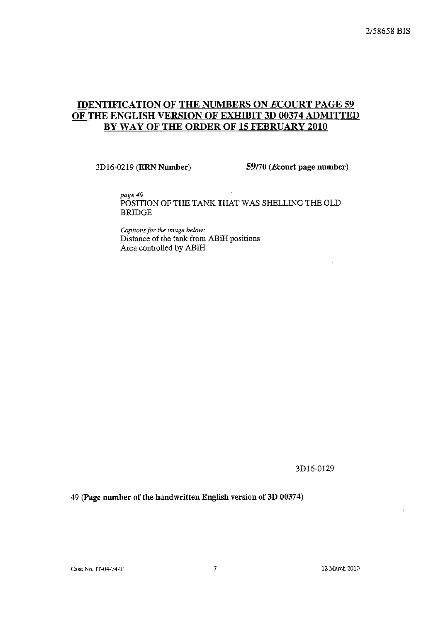## IDENTIFICATION OF THE NUMBERS ON ECOURT PAGE 59 OF THE ENGLISH VERSION OF EXHIBIT 3D 00374 ADMITTED BY WAY OF THE ORDER OF 15 FEBRUARY 2010

3D16-0219 (ERN Number) 59/70 (Ecourt page number)

*page* 49 POSITION OF THE TANK THAT WAS SHELLING THE OLD BRIDGE

*Captions for the image below:* Distance of the tank from ABiH positions Area controlled by ABiH

#### 3D16-0129

49 (page number of the handwritten English version of 3D 00374)